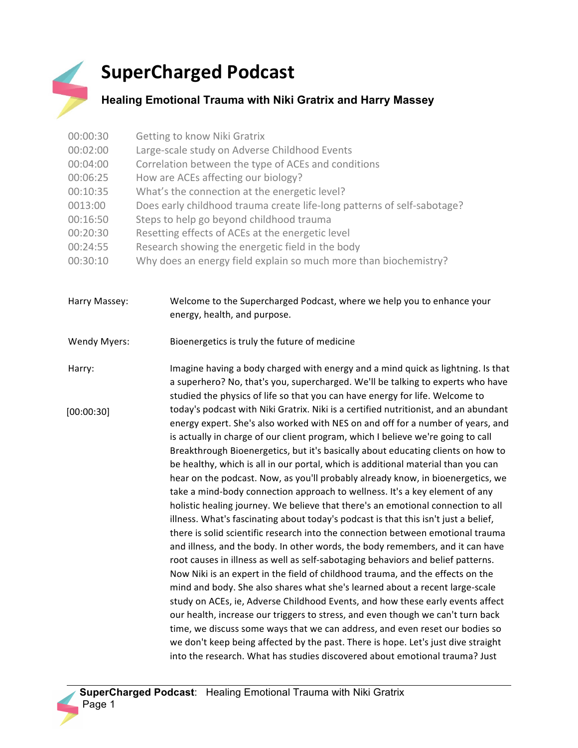## **SuperCharged Podcast**



## **Healing Emotional Trauma with Niki Gratrix and Harry Massey**

| 00:00:30 | Getting to know Niki Gratrix                                            |
|----------|-------------------------------------------------------------------------|
| 00:02:00 | Large-scale study on Adverse Childhood Events                           |
| 00:04:00 | Correlation between the type of ACEs and conditions                     |
| 00:06:25 | How are ACEs affecting our biology?                                     |
| 00:10:35 | What's the connection at the energetic level?                           |
| 0013:00  | Does early childhood trauma create life-long patterns of self-sabotage? |
| 00:16:50 | Steps to help go beyond childhood trauma                                |
| 00:20:30 | Resetting effects of ACEs at the energetic level                        |
| 00:24:55 | Research showing the energetic field in the body                        |
| 00:30:10 | Why does an energy field explain so much more than biochemistry?        |

| Harry Massey: | Welcome to the Supercharged Podcast, where we help you to enhance your |
|---------------|------------------------------------------------------------------------|
|               | energy, health, and purpose.                                           |

Wendy Myers: Bioenergetics is truly the future of medicine

Harry: Imagine having a body charged with energy and a mind quick as lightning. Is that a superhero? No, that's you, supercharged. We'll be talking to experts who have studied the physics of life so that you can have energy for life. Welcome to today's podcast with Niki Gratrix. Niki is a certified nutritionist, and an abundant energy expert. She's also worked with NES on and off for a number of years, and is actually in charge of our client program, which I believe we're going to call Breakthrough Bioenergetics, but it's basically about educating clients on how to be healthy, which is all in our portal, which is additional material than you can hear on the podcast. Now, as you'll probably already know, in bioenergetics, we take a mind-body connection approach to wellness. It's a key element of any holistic healing journey. We believe that there's an emotional connection to all illness. What's fascinating about today's podcast is that this isn't just a belief, there is solid scientific research into the connection between emotional trauma and illness, and the body. In other words, the body remembers, and it can have root causes in illness as well as self-sabotaging behaviors and belief patterns. Now Niki is an expert in the field of childhood trauma, and the effects on the mind and body. She also shares what she's learned about a recent large-scale study on ACEs, ie, Adverse Childhood Events, and how these early events affect our health, increase our triggers to stress, and even though we can't turn back time, we discuss some ways that we can address, and even reset our bodies so we don't keep being affected by the past. There is hope. Let's just dive straight into the research. What has studies discovered about emotional trauma? Just [00:00:30]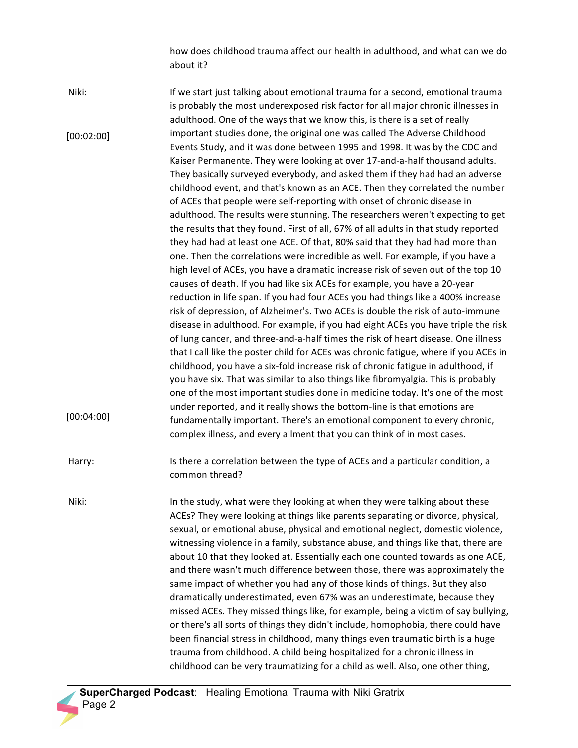how does childhood trauma affect our health in adulthood, and what can we do about it?

Niki: In the start just talking about emotional trauma for a second, emotional trauma is probably the most underexposed risk factor for all major chronic illnesses in adulthood. One of the ways that we know this, is there is a set of really important studies done, the original one was called The Adverse Childhood Events Study, and it was done between 1995 and 1998. It was by the CDC and Kaiser Permanente. They were looking at over 17-and-a-half thousand adults. They basically surveyed everybody, and asked them if they had had an adverse childhood event, and that's known as an ACE. Then they correlated the number of ACEs that people were self-reporting with onset of chronic disease in adulthood. The results were stunning. The researchers weren't expecting to get the results that they found. First of all, 67% of all adults in that study reported they had had at least one ACE. Of that, 80% said that they had had more than one. Then the correlations were incredible as well. For example, if you have a high level of ACEs, you have a dramatic increase risk of seven out of the top 10 causes of death. If you had like six ACEs for example, you have a 20-year reduction in life span. If you had four ACEs you had things like a 400% increase risk of depression, of Alzheimer's. Two ACEs is double the risk of auto-immune disease in adulthood. For example, if you had eight ACEs you have triple the risk of lung cancer, and three-and-a-half times the risk of heart disease. One illness that I call like the poster child for ACEs was chronic fatigue, where if you ACEs in childhood, you have a six-fold increase risk of chronic fatigue in adulthood, if you have six. That was similar to also things like fibromyalgia. This is probably one of the most important studies done in medicine today. It's one of the most under reported, and it really shows the bottom-line is that emotions are fundamentally important. There's an emotional component to every chronic, complex illness, and every ailment that you can think of in most cases. Harry: Is there a correlation between the type of ACEs and a particular condition, a common thread? Niki: In the study, what were they looking at when they were talking about these ACEs? They were looking at things like parents separating or divorce, physical, sexual, or emotional abuse, physical and emotional neglect, domestic violence, witnessing violence in a family, substance abuse, and things like that, there are [00:02:00] [00:04:00]

about 10 that they looked at. Essentially each one counted towards as one ACE, and there wasn't much difference between those, there was approximately the same impact of whether you had any of those kinds of things. But they also dramatically underestimated, even 67% was an underestimate, because they missed ACEs. They missed things like, for example, being a victim of say bullying, or there's all sorts of things they didn't include, homophobia, there could have been financial stress in childhood, many things even traumatic birth is a huge trauma from childhood. A child being hospitalized for a chronic illness in childhood can be very traumatizing for a child as well. Also, one other thing,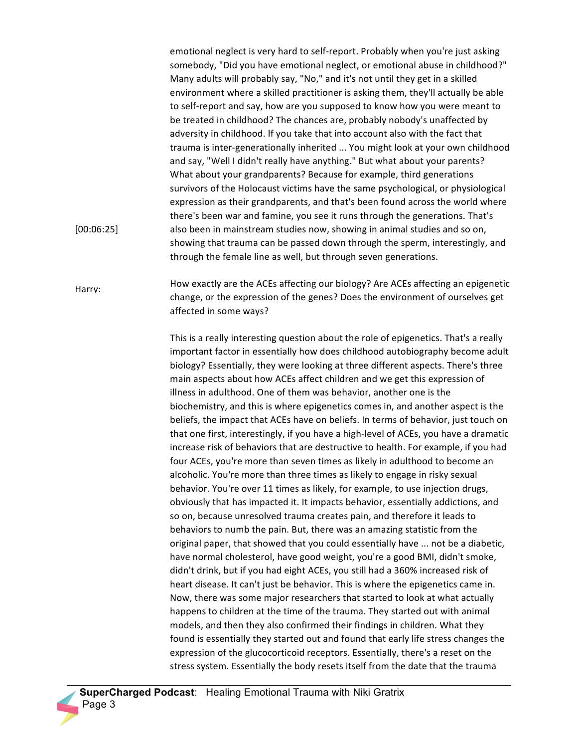emotional neglect is very hard to self-report. Probably when you're just asking somebody, "Did you have emotional neglect, or emotional abuse in childhood?" Many adults will probably say, "No," and it's not until they get in a skilled environment where a skilled practitioner is asking them, they'll actually be able to self-report and say, how are you supposed to know how you were meant to be treated in childhood? The chances are, probably nobody's unaffected by adversity in childhood. If you take that into account also with the fact that trauma is inter-generationally inherited ... You might look at your own childhood and say, "Well I didn't really have anything." But what about your parents? What about your grandparents? Because for example, third generations survivors of the Holocaust victims have the same psychological, or physiological expression as their grandparents, and that's been found across the world where there's been war and famine, you see it runs through the generations. That's also been in mainstream studies now, showing in animal studies and so on, showing that trauma can be passed down through the sperm, interestingly, and through the female line as well, but through seven generations.

How exactly are the ACEs affecting our biology? Are ACEs affecting an epigenetic change, or the expression of the genes? Does the environment of ourselves get affected in some ways? Harry:

[00:06:25]

This is a really interesting question about the role of epigenetics. That's a really important factor in essentially how does childhood autobiography become adult biology? Essentially, they were looking at three different aspects. There's three main aspects about how ACEs affect children and we get this expression of illness in adulthood. One of them was behavior, another one is the biochemistry, and this is where epigenetics comes in, and another aspect is the beliefs, the impact that ACEs have on beliefs. In terms of behavior, just touch on that one first, interestingly, if you have a high-level of ACEs, you have a dramatic increase risk of behaviors that are destructive to health. For example, if you had four ACEs, you're more than seven times as likely in adulthood to become an alcoholic. You're more than three times as likely to engage in risky sexual behavior. You're over 11 times as likely, for example, to use injection drugs, obviously that has impacted it. It impacts behavior, essentially addictions, and so on, because unresolved trauma creates pain, and therefore it leads to behaviors to numb the pain. But, there was an amazing statistic from the original paper, that showed that you could essentially have ... not be a diabetic, have normal cholesterol, have good weight, you're a good BMI, didn't smoke, didn't drink, but if you had eight ACEs, you still had a 360% increased risk of heart disease. It can't just be behavior. This is where the epigenetics came in. Now, there was some major researchers that started to look at what actually happens to children at the time of the trauma. They started out with animal models, and then they also confirmed their findings in children. What they found is essentially they started out and found that early life stress changes the expression of the glucocorticoid receptors. Essentially, there's a reset on the stress system. Essentially the body resets itself from the date that the trauma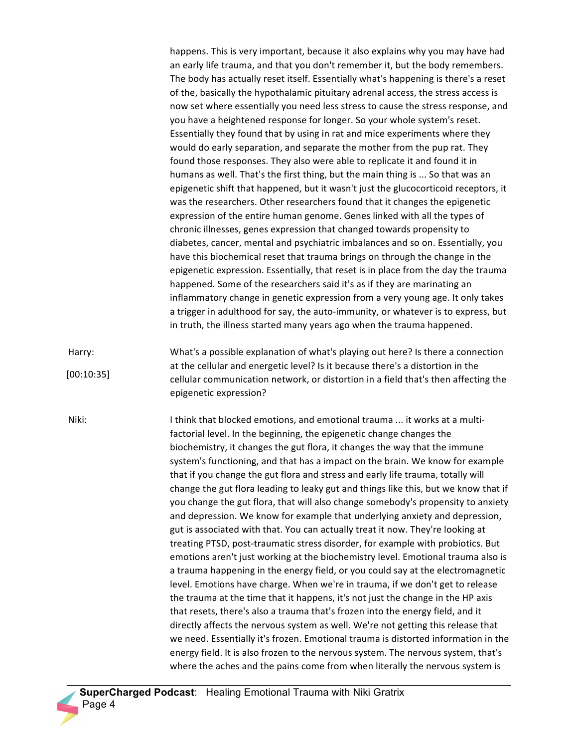happens. This is very important, because it also explains why you may have had an early life trauma, and that you don't remember it, but the body remembers. The body has actually reset itself. Essentially what's happening is there's a reset of the, basically the hypothalamic pituitary adrenal access, the stress access is now set where essentially you need less stress to cause the stress response, and you have a heightened response for longer. So your whole system's reset. Essentially they found that by using in rat and mice experiments where they would do early separation, and separate the mother from the pup rat. They found those responses. They also were able to replicate it and found it in humans as well. That's the first thing, but the main thing is ... So that was an epigenetic shift that happened, but it wasn't just the glucocorticoid receptors, it was the researchers. Other researchers found that it changes the epigenetic expression of the entire human genome. Genes linked with all the types of chronic illnesses, genes expression that changed towards propensity to diabetes, cancer, mental and psychiatric imbalances and so on. Essentially, you have this biochemical reset that trauma brings on through the change in the epigenetic expression. Essentially, that reset is in place from the day the trauma happened. Some of the researchers said it's as if they are marinating an inflammatory change in genetic expression from a very young age. It only takes a trigger in adulthood for say, the auto-immunity, or whatever is to express, but in truth, the illness started many years ago when the trauma happened.

Harry: What's a possible explanation of what's playing out here? Is there a connection at the cellular and energetic level? Is it because there's a distortion in the cellular communication network, or distortion in a field that's then affecting the epigenetic expression? [00:10:35]

Niki: Inthink that blocked emotions, and emotional trauma ... it works at a multifactorial level. In the beginning, the epigenetic change changes the biochemistry, it changes the gut flora, it changes the way that the immune system's functioning, and that has a impact on the brain. We know for example that if you change the gut flora and stress and early life trauma, totally will change the gut flora leading to leaky gut and things like this, but we know that if you change the gut flora, that will also change somebody's propensity to anxiety and depression. We know for example that underlying anxiety and depression, gut is associated with that. You can actually treat it now. They're looking at treating PTSD, post-traumatic stress disorder, for example with probiotics. But emotions aren't just working at the biochemistry level. Emotional trauma also is a trauma happening in the energy field, or you could say at the electromagnetic level. Emotions have charge. When we're in trauma, if we don't get to release the trauma at the time that it happens, it's not just the change in the HP axis that resets, there's also a trauma that's frozen into the energy field, and it directly affects the nervous system as well. We're not getting this release that we need. Essentially it's frozen. Emotional trauma is distorted information in the energy field. It is also frozen to the nervous system. The nervous system, that's where the aches and the pains come from when literally the nervous system is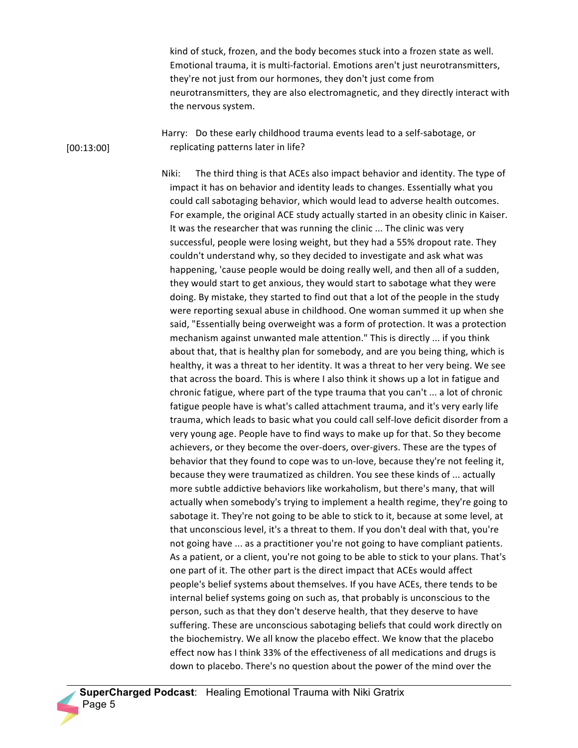kind of stuck, frozen, and the body becomes stuck into a frozen state as well. Emotional trauma, it is multi-factorial. Emotions aren't just neurotransmitters, they're not just from our hormones, they don't just come from neurotransmitters, they are also electromagnetic, and they directly interact with the nervous system.

Harry: Do these early childhood trauma events lead to a self-sabotage, or replicating patterns later in life?

[00:13:00]

Niki: The third thing is that ACEs also impact behavior and identity. The type of impact it has on behavior and identity leads to changes. Essentially what you could call sabotaging behavior, which would lead to adverse health outcomes. For example, the original ACE study actually started in an obesity clinic in Kaiser. It was the researcher that was running the clinic ... The clinic was very successful, people were losing weight, but they had a 55% dropout rate. They couldn't understand why, so they decided to investigate and ask what was happening, 'cause people would be doing really well, and then all of a sudden, they would start to get anxious, they would start to sabotage what they were doing. By mistake, they started to find out that a lot of the people in the study were reporting sexual abuse in childhood. One woman summed it up when she said, "Essentially being overweight was a form of protection. It was a protection mechanism against unwanted male attention." This is directly ... if you think about that, that is healthy plan for somebody, and are you being thing, which is healthy, it was a threat to her identity. It was a threat to her very being. We see that across the board. This is where I also think it shows up a lot in fatigue and chronic fatigue, where part of the type trauma that you can't ... a lot of chronic fatigue people have is what's called attachment trauma, and it's very early life trauma, which leads to basic what you could call self-love deficit disorder from a very young age. People have to find ways to make up for that. So they become achievers, or they become the over-doers, over-givers. These are the types of behavior that they found to cope was to un-love, because they're not feeling it, because they were traumatized as children. You see these kinds of ... actually more subtle addictive behaviors like workaholism, but there's many, that will actually when somebody's trying to implement a health regime, they're going to sabotage it. They're not going to be able to stick to it, because at some level, at that unconscious level, it's a threat to them. If you don't deal with that, you're not going have ... as a practitioner you're not going to have compliant patients. As a patient, or a client, you're not going to be able to stick to your plans. That's one part of it. The other part is the direct impact that ACEs would affect people's belief systems about themselves. If you have ACEs, there tends to be internal belief systems going on such as, that probably is unconscious to the person, such as that they don't deserve health, that they deserve to have suffering. These are unconscious sabotaging beliefs that could work directly on the biochemistry. We all know the placebo effect. We know that the placebo effect now has I think 33% of the effectiveness of all medications and drugs is down to placebo. There's no question about the power of the mind over the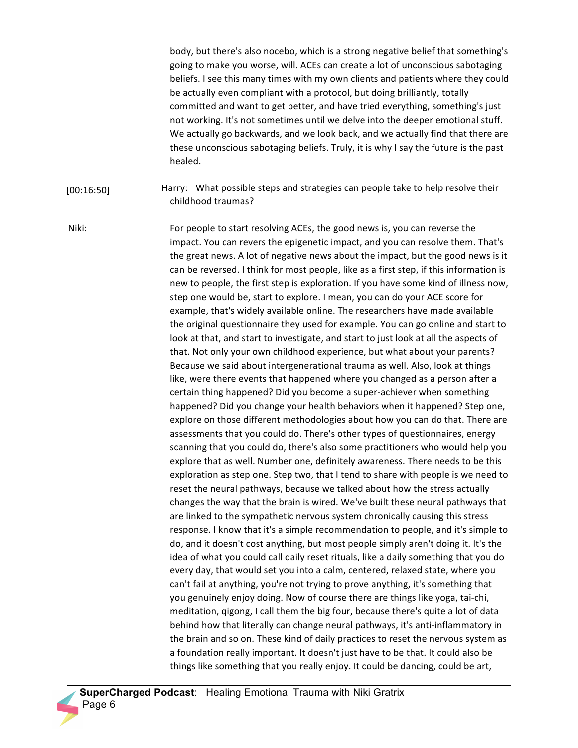body, but there's also nocebo, which is a strong negative belief that something's going to make you worse, will. ACEs can create a lot of unconscious sabotaging beliefs. I see this many times with my own clients and patients where they could be actually even compliant with a protocol, but doing brilliantly, totally committed and want to get better, and have tried everything, something's just not working. It's not sometimes until we delve into the deeper emotional stuff. We actually go backwards, and we look back, and we actually find that there are these unconscious sabotaging beliefs. Truly, it is why I say the future is the past healed.

Harry: What possible steps and strategies can people take to help resolve their childhood traumas? [00:16:50]

Niki: For people to start resolving ACEs, the good news is, you can reverse the impact. You can revers the epigenetic impact, and you can resolve them. That's the great news. A lot of negative news about the impact, but the good news is it can be reversed. I think for most people, like as a first step, if this information is new to people, the first step is exploration. If you have some kind of illness now, step one would be, start to explore. I mean, you can do your ACE score for example, that's widely available online. The researchers have made available the original questionnaire they used for example. You can go online and start to look at that, and start to investigate, and start to just look at all the aspects of that. Not only your own childhood experience, but what about your parents? Because we said about intergenerational trauma as well. Also, look at things like, were there events that happened where you changed as a person after a certain thing happened? Did you become a super-achiever when something happened? Did you change your health behaviors when it happened? Step one, explore on those different methodologies about how you can do that. There are assessments that you could do. There's other types of questionnaires, energy scanning that you could do, there's also some practitioners who would help you explore that as well. Number one, definitely awareness. There needs to be this exploration as step one. Step two, that I tend to share with people is we need to reset the neural pathways, because we talked about how the stress actually changes the way that the brain is wired. We've built these neural pathways that are linked to the sympathetic nervous system chronically causing this stress response. I know that it's a simple recommendation to people, and it's simple to do, and it doesn't cost anything, but most people simply aren't doing it. It's the idea of what you could call daily reset rituals, like a daily something that you do every day, that would set you into a calm, centered, relaxed state, where you can't fail at anything, you're not trying to prove anything, it's something that you genuinely enjoy doing. Now of course there are things like yoga, tai-chi, meditation, qigong, I call them the big four, because there's quite a lot of data behind how that literally can change neural pathways, it's anti-inflammatory in the brain and so on. These kind of daily practices to reset the nervous system as a foundation really important. It doesn't just have to be that. It could also be things like something that you really enjoy. It could be dancing, could be art,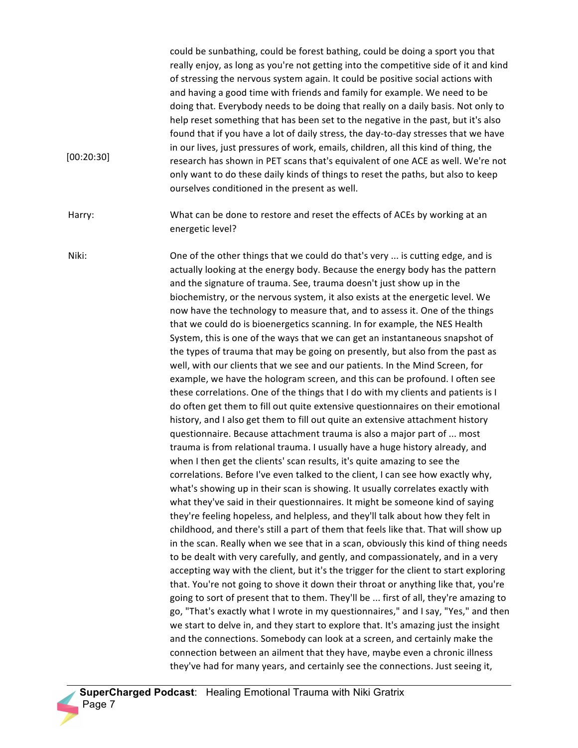could be sunbathing, could be forest bathing, could be doing a sport you that really enjoy, as long as you're not getting into the competitive side of it and kind of stressing the nervous system again. It could be positive social actions with and having a good time with friends and family for example. We need to be doing that. Everybody needs to be doing that really on a daily basis. Not only to help reset something that has been set to the negative in the past, but it's also found that if you have a lot of daily stress, the day-to-day stresses that we have in our lives, just pressures of work, emails, children, all this kind of thing, the research has shown in PET scans that's equivalent of one ACE as well. We're not only want to do these daily kinds of things to reset the paths, but also to keep ourselves conditioned in the present as well.

Harry: What can be done to restore and reset the effects of ACEs by working at an energetic level?

[00:20:30]

Niki: One of the other things that we could do that's very ... is cutting edge, and is actually looking at the energy body. Because the energy body has the pattern and the signature of trauma. See, trauma doesn't just show up in the biochemistry, or the nervous system, it also exists at the energetic level. We now have the technology to measure that, and to assess it. One of the things that we could do is bioenergetics scanning. In for example, the NES Health System, this is one of the ways that we can get an instantaneous snapshot of the types of trauma that may be going on presently, but also from the past as well, with our clients that we see and our patients. In the Mind Screen, for example, we have the hologram screen, and this can be profound. I often see these correlations. One of the things that I do with my clients and patients is I do often get them to fill out quite extensive questionnaires on their emotional history, and I also get them to fill out quite an extensive attachment history questionnaire. Because attachment trauma is also a major part of ... most trauma is from relational trauma. I usually have a huge history already, and when I then get the clients' scan results, it's quite amazing to see the correlations. Before I've even talked to the client, I can see how exactly why, what's showing up in their scan is showing. It usually correlates exactly with what they've said in their questionnaires. It might be someone kind of saying they're feeling hopeless, and helpless, and they'll talk about how they felt in childhood, and there's still a part of them that feels like that. That will show up in the scan. Really when we see that in a scan, obviously this kind of thing needs to be dealt with very carefully, and gently, and compassionately, and in a very accepting way with the client, but it's the trigger for the client to start exploring that. You're not going to shove it down their throat or anything like that, you're going to sort of present that to them. They'll be ... first of all, they're amazing to go, "That's exactly what I wrote in my questionnaires," and I say, "Yes," and then we start to delve in, and they start to explore that. It's amazing just the insight and the connections. Somebody can look at a screen, and certainly make the connection between an ailment that they have, maybe even a chronic illness they've had for many years, and certainly see the connections. Just seeing it,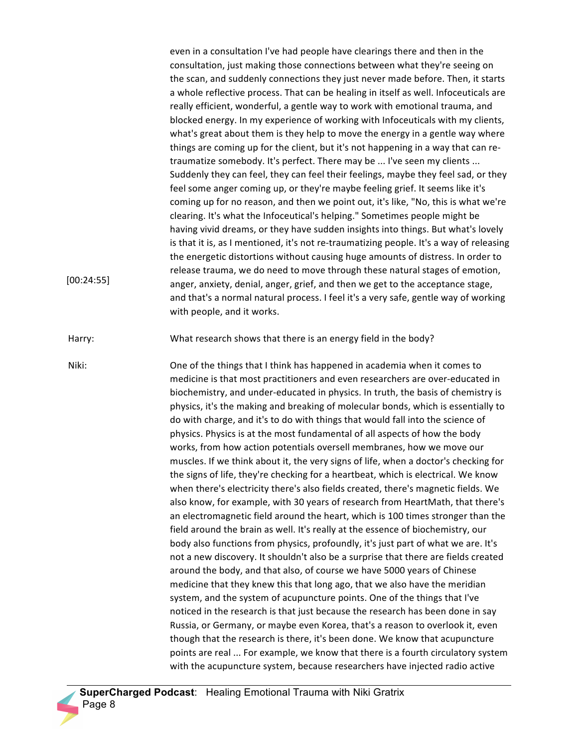even in a consultation I've had people have clearings there and then in the consultation, just making those connections between what they're seeing on the scan, and suddenly connections they just never made before. Then, it starts a whole reflective process. That can be healing in itself as well. Infoceuticals are really efficient, wonderful, a gentle way to work with emotional trauma, and blocked energy. In my experience of working with Infoceuticals with my clients, what's great about them is they help to move the energy in a gentle way where things are coming up for the client, but it's not happening in a way that can retraumatize somebody. It's perfect. There may be ... I've seen my clients ... Suddenly they can feel, they can feel their feelings, maybe they feel sad, or they feel some anger coming up, or they're maybe feeling grief. It seems like it's coming up for no reason, and then we point out, it's like, "No, this is what we're clearing. It's what the Infoceutical's helping." Sometimes people might be having vivid dreams, or they have sudden insights into things. But what's lovely is that it is, as I mentioned, it's not re-traumatizing people. It's a way of releasing the energetic distortions without causing huge amounts of distress. In order to release trauma, we do need to move through these natural stages of emotion, anger, anxiety, denial, anger, grief, and then we get to the acceptance stage, and that's a normal natural process. I feel it's a very safe, gentle way of working with people, and it works.

Harry: What research shows that there is an energy field in the body?

[00:24:55]

Niki: One of the things that I think has happened in academia when it comes to medicine is that most practitioners and even researchers are over-educated in biochemistry, and under-educated in physics. In truth, the basis of chemistry is physics, it's the making and breaking of molecular bonds, which is essentially to do with charge, and it's to do with things that would fall into the science of physics. Physics is at the most fundamental of all aspects of how the body works, from how action potentials oversell membranes, how we move our muscles. If we think about it, the very signs of life, when a doctor's checking for the signs of life, they're checking for a heartbeat, which is electrical. We know when there's electricity there's also fields created, there's magnetic fields. We also know, for example, with 30 years of research from HeartMath, that there's an electromagnetic field around the heart, which is 100 times stronger than the field around the brain as well. It's really at the essence of biochemistry, our body also functions from physics, profoundly, it's just part of what we are. It's not a new discovery. It shouldn't also be a surprise that there are fields created around the body, and that also, of course we have 5000 years of Chinese medicine that they knew this that long ago, that we also have the meridian system, and the system of acupuncture points. One of the things that I've noticed in the research is that just because the research has been done in say Russia, or Germany, or maybe even Korea, that's a reason to overlook it, even though that the research is there, it's been done. We know that acupuncture points are real ... For example, we know that there is a fourth circulatory system with the acupuncture system, because researchers have injected radio active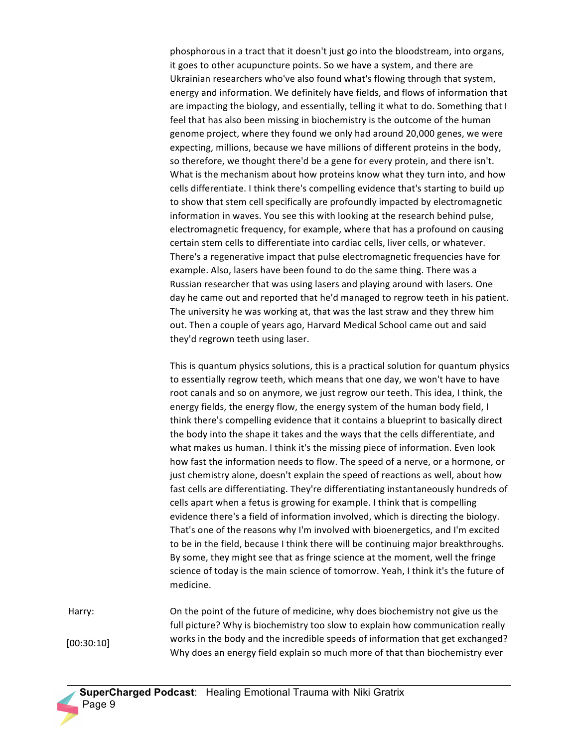phosphorous in a tract that it doesn't just go into the bloodstream, into organs, it goes to other acupuncture points. So we have a system, and there are Ukrainian researchers who've also found what's flowing through that system, energy and information. We definitely have fields, and flows of information that are impacting the biology, and essentially, telling it what to do. Something that  $I$ feel that has also been missing in biochemistry is the outcome of the human genome project, where they found we only had around 20,000 genes, we were expecting, millions, because we have millions of different proteins in the body, so therefore, we thought there'd be a gene for every protein, and there isn't. What is the mechanism about how proteins know what they turn into, and how cells differentiate. I think there's compelling evidence that's starting to build up to show that stem cell specifically are profoundly impacted by electromagnetic information in waves. You see this with looking at the research behind pulse, electromagnetic frequency, for example, where that has a profound on causing certain stem cells to differentiate into cardiac cells, liver cells, or whatever. There's a regenerative impact that pulse electromagnetic frequencies have for example. Also, lasers have been found to do the same thing. There was a Russian researcher that was using lasers and playing around with lasers. One day he came out and reported that he'd managed to regrow teeth in his patient. The university he was working at, that was the last straw and they threw him out. Then a couple of years ago, Harvard Medical School came out and said they'd regrown teeth using laser.

This is quantum physics solutions, this is a practical solution for quantum physics to essentially regrow teeth, which means that one day, we won't have to have root canals and so on anymore, we just regrow our teeth. This idea, I think, the energy fields, the energy flow, the energy system of the human body field, I think there's compelling evidence that it contains a blueprint to basically direct the body into the shape it takes and the ways that the cells differentiate, and what makes us human. I think it's the missing piece of information. Even look how fast the information needs to flow. The speed of a nerve, or a hormone, or just chemistry alone, doesn't explain the speed of reactions as well, about how fast cells are differentiating. They're differentiating instantaneously hundreds of cells apart when a fetus is growing for example. I think that is compelling evidence there's a field of information involved, which is directing the biology. That's one of the reasons why I'm involved with bioenergetics, and I'm excited to be in the field, because I think there will be continuing major breakthroughs. By some, they might see that as fringe science at the moment, well the fringe science of today is the main science of tomorrow. Yeah, I think it's the future of medicine.

Harry: Charry: Chart the point of the future of medicine, why does biochemistry not give us the full picture? Why is biochemistry too slow to explain how communication really works in the body and the incredible speeds of information that get exchanged? Why does an energy field explain so much more of that than biochemistry ever [00:30:10]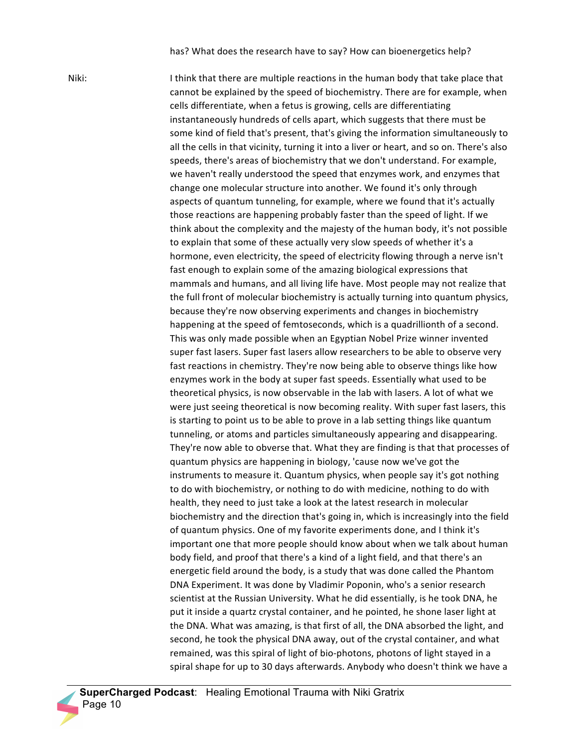has? What does the research have to say? How can bioenergetics help?

Niki: Inthink that there are multiple reactions in the human body that take place that cannot be explained by the speed of biochemistry. There are for example, when cells differentiate, when a fetus is growing, cells are differentiating instantaneously hundreds of cells apart, which suggests that there must be some kind of field that's present, that's giving the information simultaneously to all the cells in that vicinity, turning it into a liver or heart, and so on. There's also speeds, there's areas of biochemistry that we don't understand. For example, we haven't really understood the speed that enzymes work, and enzymes that change one molecular structure into another. We found it's only through aspects of quantum tunneling, for example, where we found that it's actually those reactions are happening probably faster than the speed of light. If we think about the complexity and the majesty of the human body, it's not possible to explain that some of these actually very slow speeds of whether it's a hormone, even electricity, the speed of electricity flowing through a nerve isn't fast enough to explain some of the amazing biological expressions that mammals and humans, and all living life have. Most people may not realize that the full front of molecular biochemistry is actually turning into quantum physics, because they're now observing experiments and changes in biochemistry happening at the speed of femtoseconds, which is a quadrillionth of a second. This was only made possible when an Egyptian Nobel Prize winner invented super fast lasers. Super fast lasers allow researchers to be able to observe very fast reactions in chemistry. They're now being able to observe things like how enzymes work in the body at super fast speeds. Essentially what used to be theoretical physics, is now observable in the lab with lasers. A lot of what we were just seeing theoretical is now becoming reality. With super fast lasers, this is starting to point us to be able to prove in a lab setting things like quantum tunneling, or atoms and particles simultaneously appearing and disappearing. They're now able to obverse that. What they are finding is that that processes of quantum physics are happening in biology, 'cause now we've got the instruments to measure it. Quantum physics, when people say it's got nothing to do with biochemistry, or nothing to do with medicine, nothing to do with health, they need to just take a look at the latest research in molecular biochemistry and the direction that's going in, which is increasingly into the field of quantum physics. One of my favorite experiments done, and I think it's important one that more people should know about when we talk about human body field, and proof that there's a kind of a light field, and that there's an energetic field around the body, is a study that was done called the Phantom DNA Experiment. It was done by Vladimir Poponin, who's a senior research scientist at the Russian University. What he did essentially, is he took DNA, he put it inside a quartz crystal container, and he pointed, he shone laser light at the DNA. What was amazing, is that first of all, the DNA absorbed the light, and second, he took the physical DNA away, out of the crystal container, and what remained, was this spiral of light of bio-photons, photons of light stayed in a spiral shape for up to 30 days afterwards. Anybody who doesn't think we have a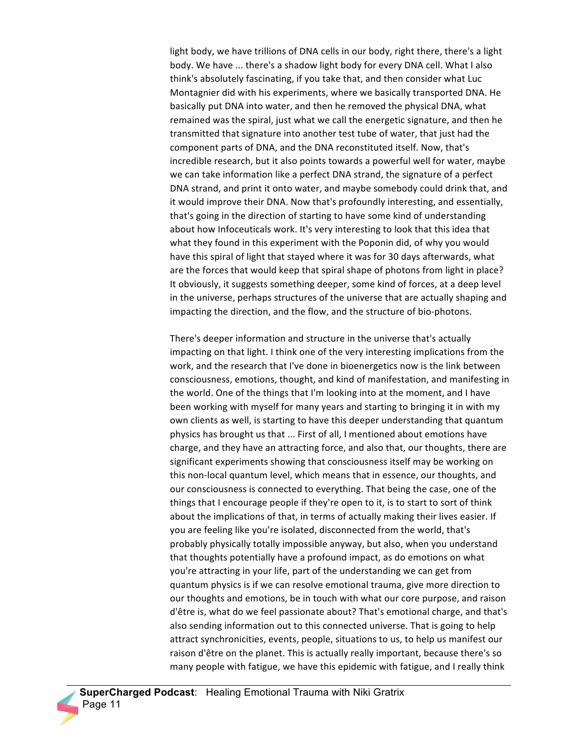light body, we have trillions of DNA cells in our body, right there, there's a light body. We have ... there's a shadow light body for every DNA cell. What I also think's absolutely fascinating, if you take that, and then consider what Luc Montagnier did with his experiments, where we basically transported DNA. He basically put DNA into water, and then he removed the physical DNA, what remained was the spiral, just what we call the energetic signature, and then he transmitted that signature into another test tube of water, that just had the component parts of DNA, and the DNA reconstituted itself. Now, that's incredible research, but it also points towards a powerful well for water, maybe we can take information like a perfect DNA strand, the signature of a perfect DNA strand, and print it onto water, and maybe somebody could drink that, and it would improve their DNA. Now that's profoundly interesting, and essentially, that's going in the direction of starting to have some kind of understanding about how Infoceuticals work. It's very interesting to look that this idea that what they found in this experiment with the Poponin did, of why you would have this spiral of light that stayed where it was for 30 days afterwards, what are the forces that would keep that spiral shape of photons from light in place? It obviously, it suggests something deeper, some kind of forces, at a deep level in the universe, perhaps structures of the universe that are actually shaping and impacting the direction, and the flow, and the structure of bio-photons.

There's deeper information and structure in the universe that's actually impacting on that light. I think one of the very interesting implications from the work, and the research that I've done in bioenergetics now is the link between consciousness, emotions, thought, and kind of manifestation, and manifesting in the world. One of the things that I'm looking into at the moment, and I have been working with myself for many years and starting to bringing it in with my own clients as well, is starting to have this deeper understanding that quantum physics has brought us that ... First of all, I mentioned about emotions have charge, and they have an attracting force, and also that, our thoughts, there are significant experiments showing that consciousness itself may be working on this non-local quantum level, which means that in essence, our thoughts, and our consciousness is connected to everything. That being the case, one of the things that I encourage people if they're open to it, is to start to sort of think about the implications of that, in terms of actually making their lives easier. If you are feeling like you're isolated, disconnected from the world, that's probably physically totally impossible anyway, but also, when you understand that thoughts potentially have a profound impact, as do emotions on what you're attracting in your life, part of the understanding we can get from quantum physics is if we can resolve emotional trauma, give more direction to our thoughts and emotions, be in touch with what our core purpose, and raison d'être is, what do we feel passionate about? That's emotional charge, and that's also sending information out to this connected universe. That is going to help attract synchronicities, events, people, situations to us, to help us manifest our raison d'être on the planet. This is actually really important, because there's so many people with fatigue, we have this epidemic with fatigue, and I really think